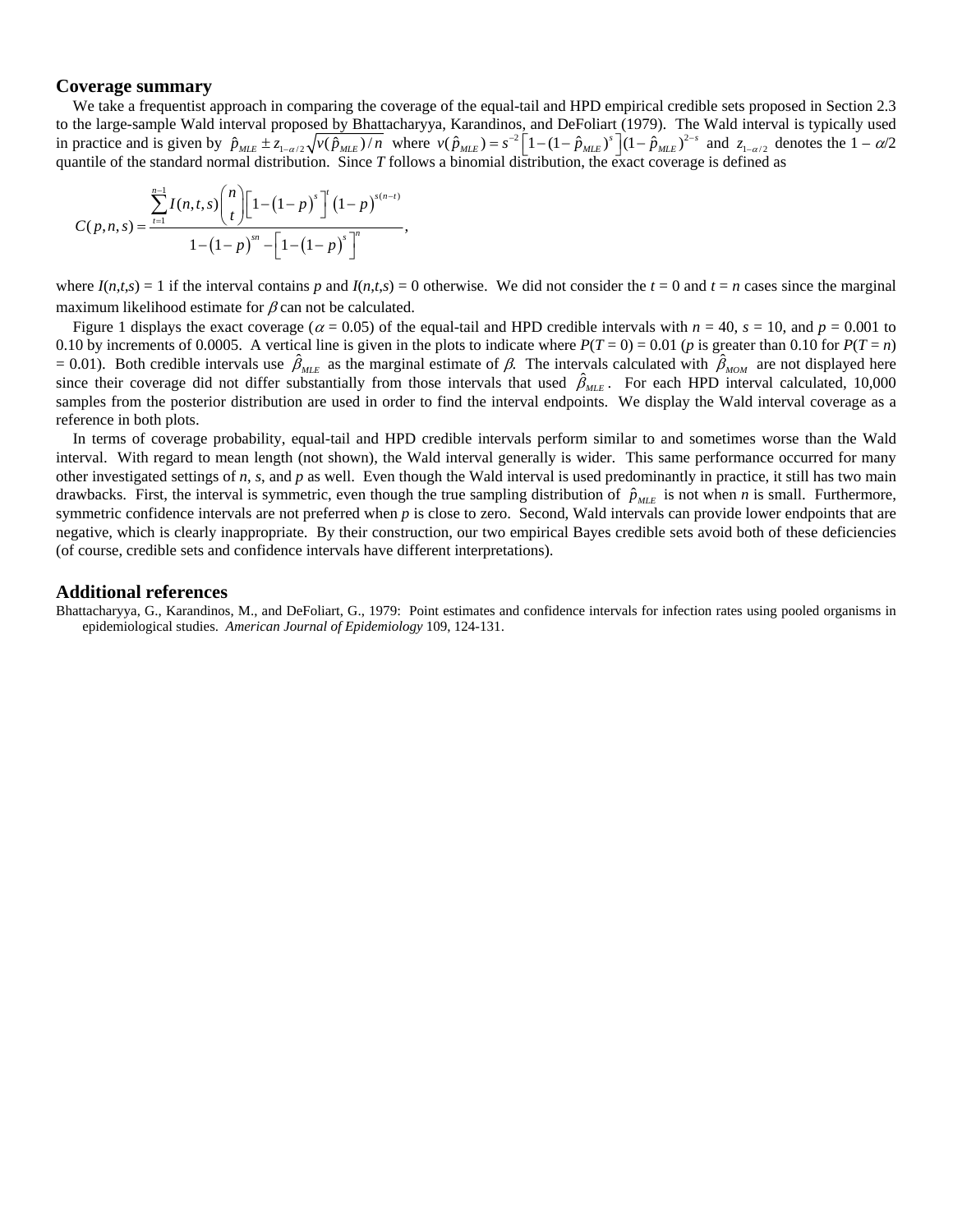## **Coverage summary**

We take a frequentist approach in comparing the coverage of the equal-tail and HPD empirical credible sets proposed in Section 2.3 to the large-sample Wald interval proposed by Bhattacharyya, Karandinos, and DeFoliart (1979). The Wald interval is typically used in practice and is given by  $\hat{p}_{MLE} \pm z_{1-\alpha/2} \sqrt{v(\hat{p}_{MLE})/n}$  where  $v(\hat{p}_{MLE}) = s^{-2} \left[1 - (1 - \hat{p}_{MLE})^s\right] (1 - \hat{p}_{MLE})^{2-s}$  and  $z_{1-\alpha/2}$  denotes the  $1 - \alpha/2$ quantile of the standard normal distribution. Since *T* follows a binomial distribution, the exact coverage is defined as  $=s^{-2}\left[1-(1-\hat{p}_{MIF})^{s}\right](1-\hat{p}_{MIF})^{2-s}$  and z

$$
C(p,n,s) = \frac{\sum_{t=1}^{n-1} I(n,t,s) {n \choose t} \left[1 - (1-p)^s\right]^{t} (1-p)^{s(n-t)}}{1 - (1-p)^m - \left[1 - (1-p)^s\right]^n},
$$

where  $I(n,t,s) = 1$  if the interval contains p and  $I(n,t,s) = 0$  otherwise. We did not consider the  $t = 0$  and  $t = n$  cases since the marginal maximum likelihood estimate for  $\beta$  can not be calculated.

Figure 1 displays the exact coverage ( $\alpha$  = 0.05) of the equal-tail and HPD credible intervals with  $n = 40$ ,  $s = 10$ , and  $p = 0.001$  to 0.10 by increments of 0.0005. A vertical line is given in the plots to indicate where  $P(T = 0) = 0.01$  (*p* is greater than 0.10 for  $P(T = n)$ )  $= 0.01$ ). Both credible intervals use  $\hat{\beta}_{MLE}$  as the marginal estimate of β. The intervals calculated with  $\hat{\beta}_{MOM}$  are not displayed here since their coverage did not differ substantially from those intervals that used  $\hat{\beta}_{MLE}$ . For each HPD interval calculated, 10,000 samples from the posterior distribution are used in order to find the interval endpoints. We display the Wald interval coverage as a reference in both plots.

In terms of coverage probability, equal-tail and HPD credible intervals perform similar to and sometimes worse than the Wald interval. With regard to mean length (not shown), the Wald interval generally is wider. This same performance occurred for many other investigated settings of *n*, *s*, and *p* as well. Even though the Wald interval is used predominantly in practice, it still has two main drawbacks. First, the interval is symmetric, even though the true sampling distribution of  $\hat{p}_{MLE}$  is not when *n* is small. Furthermore, symmetric confidence intervals are not preferred when *p* is close to zero. Second, Wald intervals can provide lower endpoints that are negative, which is clearly inappropriate. By their construction, our two empirical Bayes credible sets avoid both of these deficiencies (of course, credible sets and confidence intervals have different interpretations).

## **Additional references**

Bhattacharyya, G., Karandinos, M., and DeFoliart, G., 1979: Point estimates and confidence intervals for infection rates using pooled organisms in epidemiological studies. *American Journal of Epidemiology* 109, 124-131.